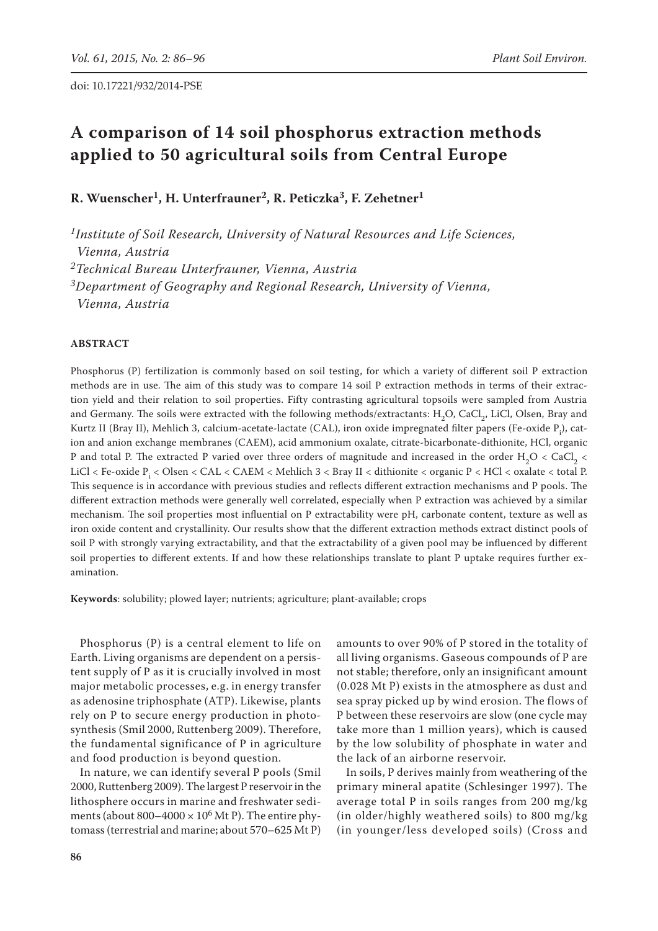# **A comparison of 14 soil phosphorus extraction methods applied to 50 agricultural soils from Central Europe**

**R. Wuenscher1, H. Unterfrauner2, R. Peticzka3, F. Zehetner1**

*1Institute of Soil Research, University of Natural Resources and Life Sciences, Vienna, Austria 2Technical Bureau Unterfrauner, Vienna, Austria 3Department of Geography and Regional Research, University of Vienna, Vienna, Austria*

# **ABSTRACT**

Phosphorus (P) fertilization is commonly based on soil testing, for which a variety of different soil P extraction methods are in use. The aim of this study was to compare 14 soil P extraction methods in terms of their extraction yield and their relation to soil properties. Fifty contrasting agricultural topsoils were sampled from Austria and Germany. The soils were extracted with the following methods/extractants: H<sub>2</sub>O, CaCl<sub>2</sub>, LiCl, Olsen, Bray and Kurtz II (Bray II), Mehlich 3, calcium-acetate-lactate (CAL), iron oxide impregnated filter papers (Fe-oxide P<sub>i</sub>), cation and anion exchange membranes (CAEM), acid ammonium oxalate, citrate-bicarbonate-dithionite, HCl, organic P and total P. The extracted P varied over three orders of magnitude and increased in the order  $H_2O < CaCl<sub>2</sub>$ LiCl < Fe-oxide P<sub>i</sub> < Olsen < CAL < CAEM < Mehlich 3 < Bray II < dithionite < organic P < HCl < oxalate < total P. This sequence is in accordance with previous studies and reflects different extraction mechanisms and P pools. The different extraction methods were generally well correlated, especially when P extraction was achieved by a similar mechanism. The soil properties most influential on P extractability were pH, carbonate content, texture as well as iron oxide content and crystallinity. Our results show that the different extraction methods extract distinct pools of soil P with strongly varying extractability, and that the extractability of a given pool may be influenced by different soil properties to different extents. If and how these relationships translate to plant P uptake requires further examination.

**Keywords**: solubility; plowed layer; nutrients; agriculture; plant-available; crops

Phosphorus (P) is a central element to life on Earth. Living organisms are dependent on a persistent supply of P as it is crucially involved in most major metabolic processes, e.g. in energy transfer as adenosine triphosphate (ATP). Likewise, plants rely on P to secure energy production in photosynthesis (Smil 2000, Ruttenberg 2009). Therefore, the fundamental significance of P in agriculture and food production is beyond question.

In nature, we can identify several P pools (Smil 2000, Ruttenberg 2009). The largest P reservoir in the lithosphere occurs in marine and freshwater sediments (about  $800-4000 \times 10^6$  Mt P). The entire phytomass (terrestrial and marine; about 570–625 Mt P)

amounts to over 90% of P stored in the totality of all living organisms. Gaseous compounds of P are not stable; therefore, only an insignificant amount (0.028 Mt P) exists in the atmosphere as dust and sea spray picked up by wind erosion. The flows of P between these reservoirs are slow (one cycle may take more than 1 million years), which is caused by the low solubility of phosphate in water and the lack of an airborne reservoir.

In soils, P derives mainly from weathering of the primary mineral apatite (Schlesinger 1997). The average total P in soils ranges from 200 mg/kg (in older/highly weathered soils) to 800 mg/kg (in younger/less developed soils) (Cross and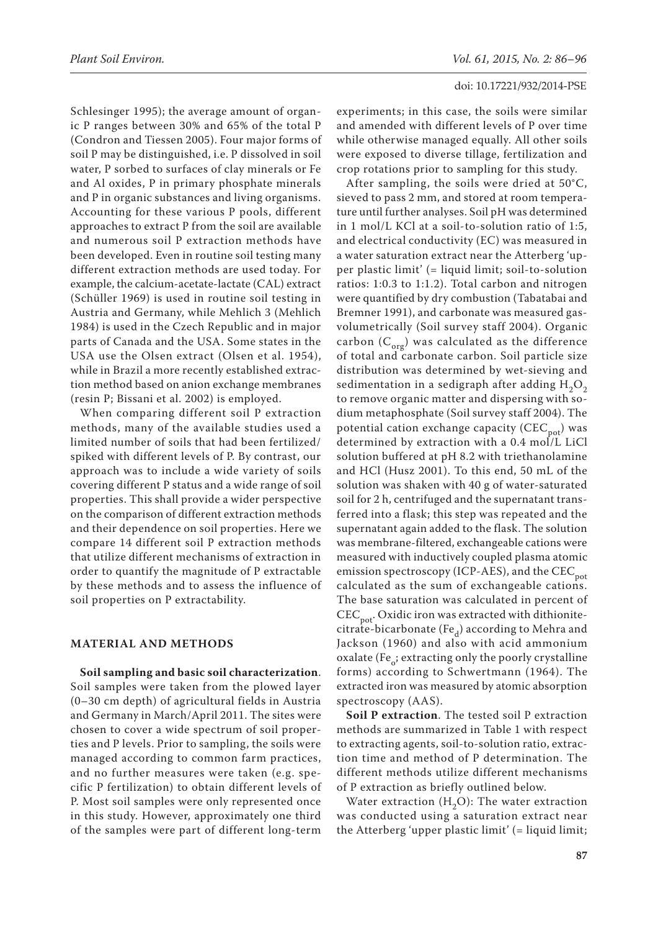Schlesinger 1995); the average amount of organic P ranges between 30% and 65% of the total P (Condron and Tiessen 2005). Four major forms of soil P may be distinguished, i.e. P dissolved in soil water, P sorbed to surfaces of clay minerals or Fe and Al oxides, P in primary phosphate minerals and P in organic substances and living organisms. Accounting for these various P pools, different approaches to extract P from the soil are available and numerous soil P extraction methods have been developed. Even in routine soil testing many different extraction methods are used today. For example, the calcium-acetate-lactate (CAL) extract (Schüller 1969) is used in routine soil testing in Austria and Germany, while Mehlich 3 (Mehlich 1984) is used in the Czech Republic and in major parts of Canada and the USA. Some states in the USA use the Olsen extract (Olsen et al. 1954), while in Brazil a more recently established extraction method based on anion exchange membranes (resin P; Bissani et al. 2002) is employed.

When comparing different soil P extraction methods, many of the available studies used a limited number of soils that had been fertilized/ spiked with different levels of P. By contrast, our approach was to include a wide variety of soils covering different P status and a wide range of soil properties. This shall provide a wider perspective on the comparison of different extraction methods and their dependence on soil properties. Here we compare 14 different soil P extraction methods that utilize different mechanisms of extraction in order to quantify the magnitude of P extractable by these methods and to assess the influence of soil properties on P extractability.

# **MATERIAL AND METHODS**

**Soil sampling and basic soil characterization**. Soil samples were taken from the plowed layer (0–30 cm depth) of agricultural fields in Austria and Germany in March/April 2011. The sites were chosen to cover a wide spectrum of soil properties and P levels. Prior to sampling, the soils were managed according to common farm practices, and no further measures were taken (e.g. specific P fertilization) to obtain different levels of P. Most soil samples were only represented once in this study. However, approximately one third of the samples were part of different long-term experiments; in this case, the soils were similar and amended with different levels of P over time while otherwise managed equally. All other soils were exposed to diverse tillage, fertilization and crop rotations prior to sampling for this study.

After sampling, the soils were dried at 50°C, sieved to pass 2 mm, and stored at room temperature until further analyses. Soil pH was determined in 1 mol/L KCl at a soil-to-solution ratio of 1:5, and electrical conductivity (EC) was measured in a water saturation extract near the Atterberg 'upper plastic limit' (= liquid limit; soil-to-solution ratios: 1:0.3 to 1:1.2). Total carbon and nitrogen were quantified by dry combustion (Tabatabai and Bremner 1991), and carbonate was measured gasvolumetrically (Soil survey staff 2004). Organic carbon  $(C_{\text{org}})$  was calculated as the difference of total and carbonate carbon. Soil particle size distribution was determined by wet-sieving and sedimentation in a sedigraph after adding  $H_2O_2$ to remove organic matter and dispersing with sodium metaphosphate (Soil survey staff 2004). The potential cation exchange capacity ( $\text{CEC}_{\text{pot}}$ ) was determined by extraction with a 0.4 mol/L LiCl solution buffered at pH 8.2 with triethanolamine and HCl (Husz 2001). To this end, 50 mL of the solution was shaken with 40 g of water-saturated soil for 2 h, centrifuged and the supernatant transferred into a flask; this step was repeated and the supernatant again added to the flask. The solution was membrane-filtered, exchangeable cations were measured with inductively coupled plasma atomic emission spectroscopy (ICP-AES), and the  $\mathrm{CEC}_{\mathrm{not}}$ calculated as the sum of exchangeable cations. The base saturation was calculated in percent of  $\mathrm{CEC}_{\mathrm{pot}}$ . Oxidic iron was extracted with dithionitecitrate-bicarbonate (Fe<sub>d</sub>) according to Mehra and Jackson (1960) and also with acid ammonium oxalate (Fe<sub>o</sub>; extracting only the poorly crystalline forms) according to Schwertmann (1964). The extracted iron was measured by atomic absorption spectroscopy (AAS).

**Soil P extraction**. The tested soil P extraction methods are summarized in Table 1 with respect to extracting agents, soil-to-solution ratio, extraction time and method of P determination. The different methods utilize different mechanisms of P extraction as briefly outlined below.

Water extraction  $(H_2O)$ : The water extraction was conducted using a saturation extract near the Atterberg 'upper plastic limit' (= liquid limit;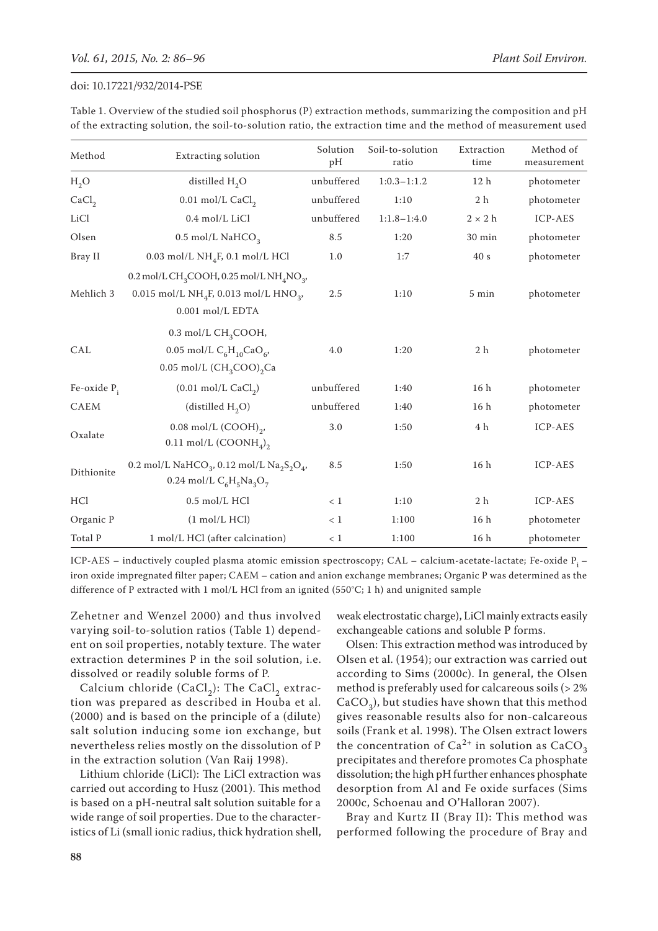| Method            | Extracting solution                                                                                                                                               | Solution<br>pH | Soil-to-solution<br>ratio | Extraction<br>time | Method of<br>measurement |
|-------------------|-------------------------------------------------------------------------------------------------------------------------------------------------------------------|----------------|---------------------------|--------------------|--------------------------|
| H <sub>2</sub> O  | distilled $H_2O$                                                                                                                                                  | unbuffered     | $1:0.3-1:1.2$             | 12 <sub>h</sub>    | photometer               |
| CaCl <sub>2</sub> | $0.01$ mol/L CaCl <sub>2</sub>                                                                                                                                    | unbuffered     | 1:10                      | 2 <sub>h</sub>     | photometer               |
| LiCl              | 0.4 mol/L LiCl                                                                                                                                                    | unbuffered     | $1:1.8-1:4.0$             | $2 \times 2 h$     | <b>ICP-AES</b>           |
| Olsen             | 0.5 mol/L NaHCO <sub>3</sub>                                                                                                                                      | 8.5            | 1:20                      | 30 min             | photometer               |
| Bray II           | $0.03$ mol/L $\rm NH_4F$ 0.1 mol/L HCl                                                                                                                            | 1.0            | 1:7                       | 40 s               | photometer               |
| Mehlich 3         | 0.2 mol/L CH <sub>3</sub> COOH, 0.25 mol/L NH <sub>4</sub> NO <sub>3</sub> ,<br>0.015 mol/L NH <sub>4</sub> F, 0.013 mol/L HNO <sub>3</sub> ,<br>0.001 mol/L EDTA | 2.5            | 1:10                      | 5 min              | photometer               |
| CAL               | 0.3 mol/L CH <sub>3</sub> COOH,<br>0.05 mol/L $C_6H_{10}CaO_6$ ,<br>$0.05$ mol/L (CH <sub>3</sub> COO) <sub>2</sub> Ca                                            | 4.0            | 1:20                      | 2 <sub>h</sub>     | photometer               |
| Fe-oxide $P_i$    | $(0.01 \text{ mol/L } CaCl2)$                                                                                                                                     | unbuffered     | 1:40                      | 16 h               | photometer               |
| <b>CAEM</b>       | (distilled $H_2O$ )                                                                                                                                               | unbuffered     | 1:40                      | 16h                | photometer               |
| Oxalate           | $0.08$ mol/L (COOH) <sub>2</sub> ,<br>0.11 mol/L $(COONH_4)_2$                                                                                                    | 3.0            | 1:50                      | 4 <sub>h</sub>     | <b>ICP-AES</b>           |
| Dithionite        | 0.2 mol/L NaHCO <sub>3</sub> , 0.12 mol/L Na <sub>2</sub> S <sub>2</sub> O <sub>4</sub> ,<br>0.24 mol/L $C_6H_5Na_3O_7$                                           | 8.5            | 1:50                      | 16 h               | <b>ICP-AES</b>           |
| HCl               | 0.5 mol/L HCl                                                                                                                                                     | < 1            | 1:10                      | 2 <sub>h</sub>     | <b>ICP-AES</b>           |
| Organic P         | $(1 \text{ mol/L HCl})$                                                                                                                                           | < 1            | 1:100                     | 16 h               | photometer               |
| Total P           | 1 mol/L HCl (after calcination)                                                                                                                                   | < 1            | 1:100                     | 16 h               | photometer               |

Table 1. Overview of the studied soil phosphorus (P) extraction methods, summarizing the composition and pH of the extracting solution, the soil-to-solution ratio, the extraction time and the method of measurement used

ICP-AES – inductively coupled plasma atomic emission spectroscopy; CAL – calcium-acetate-lactate; Fe-oxide P<sub>i</sub> – iron oxide impregnated filter paper; CAEM – cation and anion exchange membranes; Organic P was determined as the difference of P extracted with 1 mol/L HCl from an ignited (550°C; 1 h) and unignited sample

Zehetner and Wenzel 2000) and thus involved varying soil-to-solution ratios (Table 1) dependent on soil properties, notably texture. The water extraction determines P in the soil solution, i.e. dissolved or readily soluble forms of P.

Calcium chloride (CaCl<sub>2</sub>): The CaCl<sub>2</sub> extraction was prepared as described in Houba et al. (2000) and is based on the principle of a (dilute) salt solution inducing some ion exchange, but nevertheless relies mostly on the dissolution of P in the extraction solution (Van Raij 1998).

Lithium chloride (LiCl): The LiCl extraction was carried out according to Husz (2001). This method is based on a pH-neutral salt solution suitable for a wide range of soil properties. Due to the characteristics of Li (small ionic radius, thick hydration shell, weak electrostatic charge), LiCl mainly extracts easily exchangeable cations and soluble P forms.

Olsen: This extraction method was introduced by Olsen et al. (1954); our extraction was carried out according to Sims (2000c). In general, the Olsen method is preferably used for calcareous soils (> 2%  $CaCO<sub>3</sub>$ ), but studies have shown that this method gives reasonable results also for non-calcareous soils (Frank et al. 1998). The Olsen extract lowers the concentration of Ca<sup>2+</sup> in solution as CaCO<sub>3</sub> precipitates and therefore promotes Ca phosphate dissolution; the high pH further enhances phosphate desorption from Al and Fe oxide surfaces (Sims 2000c, Schoenau and O'Halloran 2007).

Bray and Kurtz II (Bray II): This method was performed following the procedure of Bray and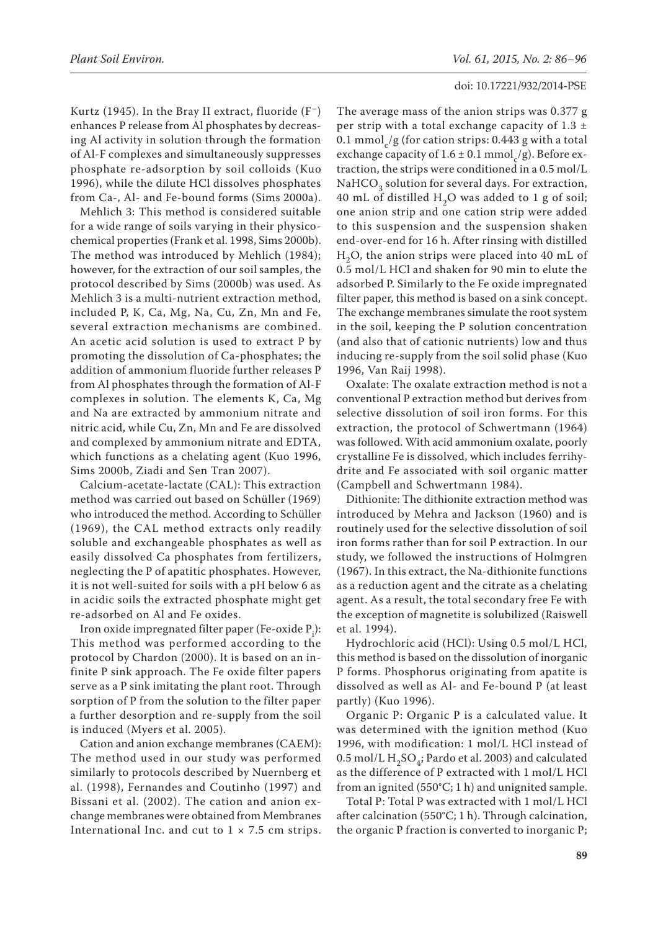Kurtz (1945). In the Bray II extract, fluoride  $(F^{-})$ enhances P release from Al phosphates by decreasing Al activity in solution through the formation of Al-F complexes and simultaneously suppresses phosphate re-adsorption by soil colloids (Kuo 1996), while the dilute HCl dissolves phosphates from Ca-, Al- and Fe-bound forms (Sims 2000a).

Mehlich 3: This method is considered suitable for a wide range of soils varying in their physicochemical properties (Frank et al. 1998, Sims 2000b). The method was introduced by Mehlich (1984); however, for the extraction of our soil samples, the protocol described by Sims (2000b) was used. As Mehlich 3 is a multi-nutrient extraction method, included P, K, Ca, Mg, Na, Cu, Zn, Mn and Fe, several extraction mechanisms are combined. An acetic acid solution is used to extract P by promoting the dissolution of Ca-phosphates; the addition of ammonium fluoride further releases P from Al phosphates through the formation of Al-F complexes in solution. The elements K, Ca, Mg and Na are extracted by ammonium nitrate and nitric acid, while Cu, Zn, Mn and Fe are dissolved and complexed by ammonium nitrate and EDTA, which functions as a chelating agent (Kuo 1996, Sims 2000b, Ziadi and Sen Tran 2007).

Calcium-acetate-lactate (CAL): This extraction method was carried out based on Schüller (1969) who introduced the method. According to Schüller (1969), the CAL method extracts only readily soluble and exchangeable phosphates as well as easily dissolved Ca phosphates from fertilizers, neglecting the P of apatitic phosphates. However, it is not well-suited for soils with a pH below 6 as in acidic soils the extracted phosphate might get re-adsorbed on Al and Fe oxides.

Iron oxide impregnated filter paper (Fe-oxide  $P_i$ ): This method was performed according to the protocol by Chardon (2000). It is based on an infinite P sink approach. The Fe oxide filter papers serve as a P sink imitating the plant root. Through sorption of P from the solution to the filter paper a further desorption and re-supply from the soil is induced (Myers et al. 2005).

Cation and anion exchange membranes (CAEM): The method used in our study was performed similarly to protocols described by Nuernberg et al. (1998), Fernandes and Coutinho (1997) and Bissani et al. (2002). The cation and anion exchange membranes were obtained from Membranes International Inc. and cut to  $1 \times 7.5$  cm strips.

The average mass of the anion strips was 0.377 g per strip with a total exchange capacity of  $1.3 \pm$  $0.1$  mmol<sub>c</sub>/g (for cation strips:  $0.443$  g with a total exchange capacity of  $1.6 \pm 0.1$  mmol<sub>c</sub>/g). Before extraction, the strips were conditioned in a 0.5 mol/L  $NaHCO<sub>3</sub>$  solution for several days. For extraction, 40 mL of distilled  $H<sub>2</sub>O$  was added to 1 g of soil; one anion strip and one cation strip were added to this suspension and the suspension shaken end-over-end for 16 h. After rinsing with distilled  $H<sub>2</sub>O$ , the anion strips were placed into 40 mL of 0.5 mol/L HCl and shaken for 90 min to elute the adsorbed P. Similarly to the Fe oxide impregnated filter paper, this method is based on a sink concept. The exchange membranes simulate the root system in the soil, keeping the P solution concentration (and also that of cationic nutrients) low and thus inducing re-supply from the soil solid phase (Kuo 1996, Van Raij 1998).

Oxalate: The oxalate extraction method is not a conventional P extraction method but derives from selective dissolution of soil iron forms. For this extraction, the protocol of Schwertmann (1964) was followed. With acid ammonium oxalate, poorly crystalline Fe is dissolved, which includes ferrihydrite and Fe associated with soil organic matter (Campbell and Schwertmann 1984).

Dithionite: The dithionite extraction method was introduced by Mehra and Jackson (1960) and is routinely used for the selective dissolution of soil iron forms rather than for soil P extraction. In our study, we followed the instructions of Holmgren (1967). In this extract, the Na-dithionite functions as a reduction agent and the citrate as a chelating agent. As a result, the total secondary free Fe with the exception of magnetite is solubilized (Raiswell et al. 1994).

Hydrochloric acid (HCl): Using 0.5 mol/L HCl, this method is based on the dissolution of inorganic P forms. Phosphorus originating from apatite is dissolved as well as Al- and Fe-bound P (at least partly) (Kuo 1996).

Organic P: Organic P is a calculated value. It was determined with the ignition method (Kuo 1996, with modification: 1 mol/L HCl instead of 0.5 mol/L  $H_2SO_4$ ; Pardo et al. 2003) and calculated as the difference of P extracted with 1 mol/L HCl from an ignited (550°C; 1 h) and unignited sample.

Total P: Total P was extracted with 1 mol/L HCl after calcination (550°C; 1 h). Through calcination, the organic P fraction is converted to inorganic P;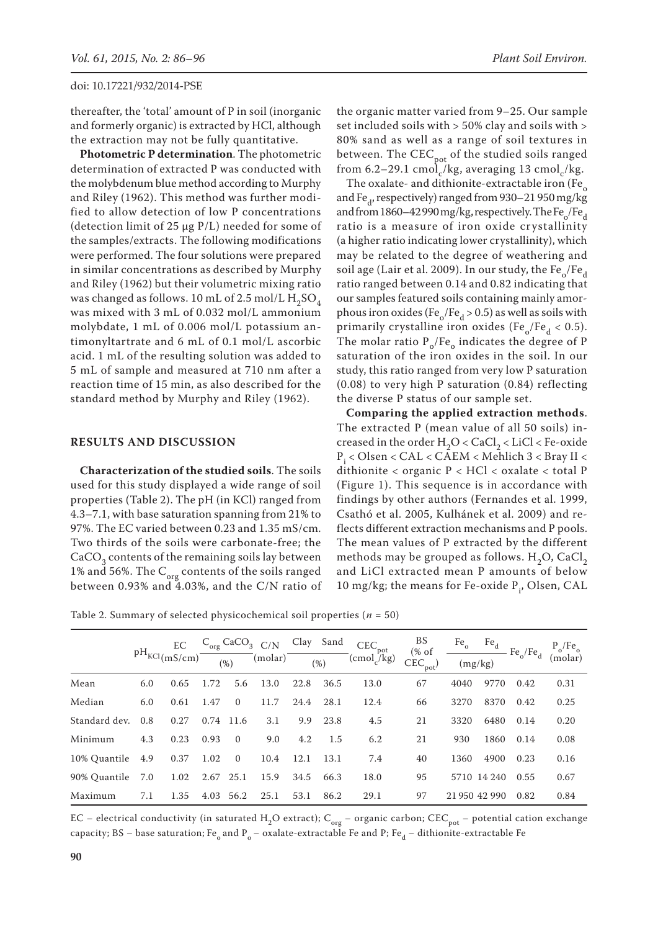thereafter, the 'total' amount of P in soil (inorganic and formerly organic) is extracted by HCl, although the extraction may not be fully quantitative.

**Photometric P determination**. The photometric determination of extracted P was conducted with the molybdenum blue method according to Murphy and Riley (1962). This method was further modified to allow detection of low P concentrations (detection limit of 25  $\mu$ g P/L) needed for some of the samples/extracts. The following modifications were performed. The four solutions were prepared in similar concentrations as described by Murphy and Riley (1962) but their volumetric mixing ratio was changed as follows. 10 mL of 2.5 mol/L  $H_2SO_4$ was mixed with 3 mL of 0.032 mol/L ammonium molybdate, 1 mL of 0.006 mol/L potassium antimonyltartrate and 6 mL of 0.1 mol/L ascorbic acid. 1 mL of the resulting solution was added to 5 mL of sample and measured at 710 nm after a reaction time of 15 min, as also described for the standard method by Murphy and Riley (1962).

# **RESULTS AND DISCUSSION**

**Characterization of the studied soils**. The soils used for this study displayed a wide range of soil properties (Table 2). The pH (in KCl) ranged from 4.3–7.1, with base saturation spanning from 21% to 97%. The EC varied between 0.23 and 1.35 mS/cm. Two thirds of the soils were carbonate-free; the  $CaCO<sub>3</sub>$  contents of the remaining soils lay between 1% and 56%. The  $C_{org}$  contents of the soils ranged between 0.93% and 4.03%, and the C/N ratio of

the organic matter varied from 9–25. Our sample set included soils with > 50% clay and soils with > 80% sand as well as a range of soil textures in between. The  $\mathrm{CEC}_{\mathrm{pot}}$  of the studied soils ranged from 6.2–29.1 cmol<sub>c</sub>/kg, averaging 13 cmol<sub>c</sub>/kg.

The oxalate- and dithionite-extractable iron (Fe $_{\circ}$ and Fe<sub>d</sub>, respectively) ranged from 930–21 950 mg/kg and from  $1860 - 42990$  mg/kg, respectively. The Fe<sub>o</sub>/Fe<sub>d</sub> ratio is a measure of iron oxide crystallinity (a higher ratio indicating lower crystallinity), which may be related to the degree of weathering and soil age (Lair et al. 2009). In our study, the Fe<sub>o</sub>/Fe<sub>d</sub> ratio ranged between 0.14 and 0.82 indicating that our samples featured soils containing mainly amorphous iron oxides (Fe<sub>o</sub>/Fe<sub>d</sub> > 0.5) as well as soils with primarily crystalline iron oxides (Fe<sub>o</sub>/Fe<sub>d</sub> < 0.5). The molar ratio  $P_0/Fe_0$  indicates the degree of P saturation of the iron oxides in the soil. In our study, this ratio ranged from very low P saturation (0.08) to very high P saturation (0.84) reflecting the diverse P status of our sample set.

**Comparing the applied extraction methods**. The extracted P (mean value of all 50 soils) increased in the order  $H_2O < CaCl_2 < LiCl < Fe$ -oxide Pi < Olsen < CAL < CAEM < Mehlich 3 < Bray II < dithionite < organic P < HCl < oxalate < total P (Figure 1). This sequence is in accordance with findings by other authors (Fernandes et al. 1999, Csathó et al. 2005, Kulhánek et al. 2009) and reflects different extraction mechanisms and P pools. The mean values of P extracted by the different methods may be grouped as follows.  $H_2O$ , CaCl<sub>2</sub> and LiCl extracted mean P amounts of below 10 mg/kg; the means for Fe-oxide  $P_i$ , Olsen, CAL

Table 2. Summary of selected physicochemical soil properties (*n* = 50)

|               |     | EC                        |      |                | $C_{org}$ CaCO <sub>3</sub> $C/N$ | Clay | Sand | $\mathrm{CEC}_{\mathrm{pot}}$<br>(cmol <sub>c</sub> /kg) | BS<br>$%$ of                  | Fe <sub>o</sub> |             | $\frac{Fe_d}{\text{Fe}_0/Fe_d}$ | $P_o/Fe_o$<br>(molar) |
|---------------|-----|---------------------------|------|----------------|-----------------------------------|------|------|----------------------------------------------------------|-------------------------------|-----------------|-------------|---------------------------------|-----------------------|
|               |     | $pH_{\text{KCl}}$ (mS/cm) |      | $(\% )$        | (molar)                           |      | (% ) |                                                          | $\mathrm{CEC}_{\mathrm{pot}}$ | (mg/kg)         |             |                                 |                       |
| Mean          | 6.0 | 0.65                      | 1.72 | 5.6            | 13.0                              | 22.8 | 36.5 | 13.0                                                     | 67                            | 4040            | 9770        | 0.42                            | 0.31                  |
| Median        | 6.0 | 0.61                      | 1.47 | $\Omega$       | 11.7                              | 24.4 | 28.1 | 12.4                                                     | 66                            | 3270            | 8370        | 0.42                            | 0.25                  |
| Standard dev. | 0.8 | 0.27                      | 0.74 | 11.6           | 3.1                               | 9.9  | 23.8 | 4.5                                                      | 21                            | 3320            | 6480        | 0.14                            | 0.20                  |
| Minimum       | 4.3 | 0.23                      | 0.93 | $\Omega$       | 9.0                               | 4.2  | 1.5  | 6.2                                                      | 21                            | 930             | 1860        | 0.14                            | 0.08                  |
| 10% Ouantile  | 4.9 | 0.37                      | 1.02 | $\overline{0}$ | 10.4                              | 12.1 | 13.1 | 7.4                                                      | 40                            | 1360            | 4900        | 0.23                            | 0.16                  |
| 90% Ouantile  | 7.0 | 1.02                      | 2.67 | 25.1           | 15.9                              | 34.5 | 66.3 | 18.0                                                     | 95                            |                 | 5710 14 240 | 0.55                            | 0.67                  |
| Maximum       | 7.1 | 1.35                      | 4.03 | 56.2           | 25.1                              | 53.1 | 86.2 | 29.1                                                     | 97                            | 21 950 42 990   |             | 0.82                            | 0.84                  |

EC – electrical conductivity (in saturated H<sub>2</sub>O extract); C<sub>org</sub> – organic carbon; CEC<sub>pot</sub> – potential cation exchange capacity; BS – base saturation; Fe<sub>o</sub> and P<sub>o</sub> – oxalate-extractable Fe and P; Fe<sub>d</sub> – dithionite-extractable Fe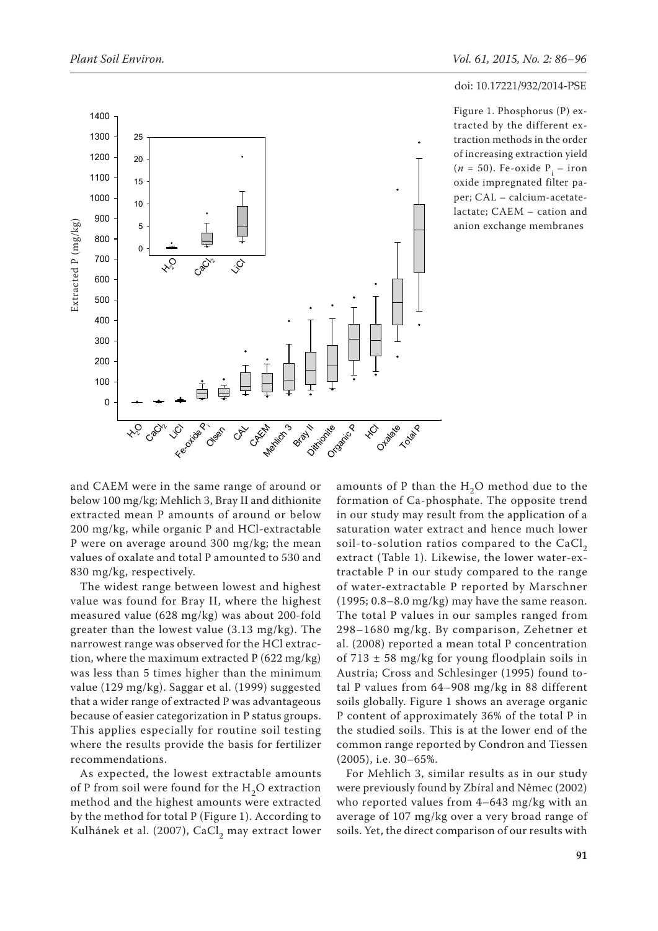

Figure 1. Phosphorus (P) extracted by the different extraction methods in the order of increasing extraction yield  $(n = 50)$ . Fe-oxide  $P_i$  – iron oxide impregnated filter paper; CAL – calcium-acetatelactate; CAEM – cation and anion exchange membranes



and CAEM were in the same range of around or below 100 mg/kg; Mehlich 3, Bray II and dithionite extracted mean P amounts of around or below 200 mg/kg, while organic P and HCl-extractable P were on average around 300 mg/kg; the mean values of oxalate and total P amounted to 530 and 830 mg/kg, respectively.

The widest range between lowest and highest value was found for Bray II, where the highest measured value (628 mg/kg) was about 200-fold greater than the lowest value (3.13 mg/kg). The narrowest range was observed for the HCl extraction, where the maximum extracted P (622 mg/kg) was less than 5 times higher than the minimum value (129 mg/kg). Saggar et al. (1999) suggested that a wider range of extracted P was advantageous because of easier categorization in P status groups. This applies especially for routine soil testing where the results provide the basis for fertilizer recommendations.

As expected, the lowest extractable amounts of P from soil were found for the  $H_2O$  extraction method and the highest amounts were extracted by the method for total P (Figure 1). According to Kulhánek et al. (2007), CaCl<sub>2</sub> may extract lower

amounts of P than the  $H<sub>2</sub>O$  method due to the formation of Ca-phosphate. The opposite trend in our study may result from the application of a saturation water extract and hence much lower soil-to-solution ratios compared to the CaCl, extract (Table 1). Likewise, the lower water-extractable P in our study compared to the range of water-extractable P reported by Marschner (1995; 0.8–8.0 mg/kg) may have the same reason. The total P values in our samples ranged from 298–1680 mg/kg. By comparison, Zehetner et al. (2008) reported a mean total P concentration of 713 ± 58 mg/kg for young floodplain soils in Austria; Cross and Schlesinger (1995) found total P values from 64–908 mg/kg in 88 different soils globally. Figure 1 shows an average organic P content of approximately 36% of the total P in the studied soils. This is at the lower end of the common range reported by Condron and Tiessen (2005), i.e. 30–65%.

For Mehlich 3, similar results as in our study were previously found by Zbíral and Němec (2002) who reported values from 4–643 mg/kg with an average of 107 mg/kg over a very broad range of soils. Yet, the direct comparison of our results with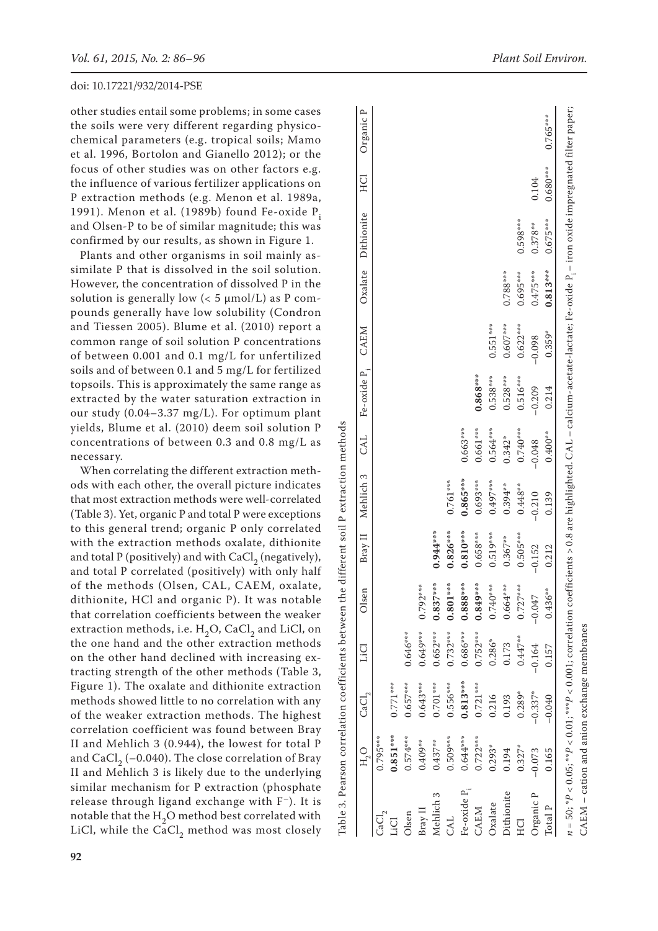other studies entail some problems; in some cases the soils were very different regarding physicochemical parameters (e.g. tropical soils; Mamo et al. 1996, Bortolon and Gianello 2012); or the focus of other studies was on other factors e.g. the influence of various fertilizer applications on P extraction methods (e.g. Menon et al. 1989a, 1991). Menon et al. (1989b) found Fe-oxide P and Olsen-P to be of similar magnitude; this was confirmed by our results, as shown in Figure 1.

Plants and other organisms in soil mainly as similate P that is dissolved in the soil solution. However, the concentration of dissolved P in the solution is generally low (< 5 µmol/L) as P com pounds generally have low solubility (Condron and Tiessen 2005). Blume et al. (2010) report a common range of soil solution P concentrations of between 0.001 and 0.1 mg/L for unfertilized soils and of between 0.1 and 5 mg/L for fertilized topsoils. This is approximately the same range as extracted by the water saturation extraction in our study (0.04–3.37 mg/L). For optimum plant yields, Blume et al. (2010) deem soil solution P concentrations of between 0.3 and 0.8 mg/L as necessary.

When correlating the different extraction meth ods with each other, the overall picture indicates that most extraction methods were well-correlated (Table 3). Yet, organic P and total P were exceptions to this general trend; organic P only correlated with the extraction methods oxalate, dithionite and total P (positively) and with  $\mathrm{CaCl}_{2}$  (negatively), and total P correlated (positively) with only half of the methods (Olsen, CAL, CAEM, oxalate, dithionite, HCl and organic P). It was notable that correlation coefficients between the weaker extraction methods, i.e.  $H_2O$ , CaCl<sub>2</sub> and LiCl, on the one hand and the other extraction methods on the other hand declined with increasing ex tracting strength of the other methods (Table 3, Figure 1). The oxalate and dithionite extraction methods showed little to no correlation with any of the weaker extraction methods. The highest correlation coefficient was found between Bray II and Mehlich 3 (0.944), the lowest for total P and  $CaCl<sub>2</sub> (-0.040)$ . The close correlation of Bray II and Mehlich 3 is likely due to the underlying similar mechanism for P extraction (phosphate release through ligand exchange with F –). It is notable that the  $H_2O$  method best correlated with LiCl, while the CaCl<sub>2</sub> method was most closely Table 3. Pearson correlation coefficients between the different soil P extraction methods

|                      | H, O       | CaCl,      | LiCl       | Olsen      | Bray 11    | Mehlich 3  | CAL        | Fe-oxide P. CAEM |            | Oxalate    | Dithionite | E          | Organic P  |
|----------------------|------------|------------|------------|------------|------------|------------|------------|------------------|------------|------------|------------|------------|------------|
| $\mathrm{CaCl}_2$    | $0.795***$ |            |            |            |            |            |            |                  |            |            |            |            |            |
| <b>Di</b> C          | $0.851***$ | $0.771***$ |            |            |            |            |            |                  |            |            |            |            |            |
| Olsen                | $0.574***$ | $0.657***$ | $0.646***$ |            |            |            |            |                  |            |            |            |            |            |
| Bray II              | $0.409***$ | $0.643***$ | $0.649***$ | $0.792***$ |            |            |            |                  |            |            |            |            |            |
| Mehlich <sub>3</sub> | $0.437***$ | $0.701***$ | $0.652***$ | $0.837***$ | $0.944***$ |            |            |                  |            |            |            |            |            |
| CAL                  | $0.509***$ | $0.556***$ | $0.732***$ | $0.801***$ | $0.826***$ | $0.761***$ |            |                  |            |            |            |            |            |
| Fe-oxide P.          | $0.644***$ | $0.813***$ | $0.686***$ | $0.888***$ | $0.810***$ | $0.865***$ | $0.663***$ |                  |            |            |            |            |            |
| CAEM                 | $0.722***$ | $0.721***$ | $0.752***$ | $0.849***$ | $0.658***$ | $0.693***$ | $0.661***$ | $0.868***$       |            |            |            |            |            |
| Oxalate              | $0.293*$   | 0.216      | $0.286**$  | $0.740***$ | $0.519***$ | $0.497***$ | $0.564***$ | $0.538***$       | $0.551***$ |            |            |            |            |
| Dithionite           | 0.194      | 0.193      | 0.173      | $0.664***$ | $0.367**$  | $0.394***$ | $0.342*$   | $0.528***$       | $0.607***$ | $0.788***$ |            |            |            |
| HCI                  | $0.327*$   | $0.289*$   | $0.447**$  | $0.727***$ | $0.505***$ | $0.448**$  | $0.740***$ | $0.516***$       | $0.622***$ | $0.695***$ | $0.598***$ |            |            |
| Organic P            | $-0.073$   | $-0.337*$  | $-0.164$   | $-0.047$   | $-0.152$   | $-0.210$   | $-0.048$   | $-0.209$         | $-0.098$   | $0.475***$ | $0.378**$  | 0.104      |            |
| Total P              | 0.165      | $-0.040$   | 0.157      | $0.436**$  | 0.212      | 0.139      | $0.400**$  | 0.214            | $0.359*$   | $0.813***$ | $0.675***$ | $0.680***$ | $0.765***$ |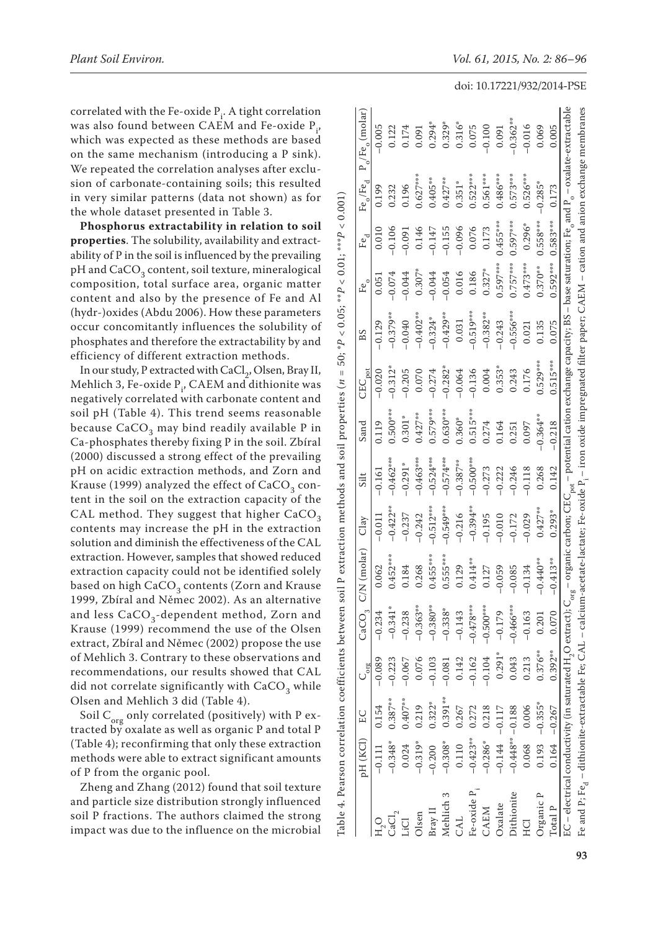correlated with the Fe-oxide  $P_i$ . A tight correlation was also found between CAEM and Fe-oxide P<sub>i</sub>, which was expected as these methods are based on the same mechanism (introducing a P sink). We repeated the correlation analyses after exclu sion of carbonate-containing soils; this resulted in very similar patterns (data not shown) as for the whole dataset presented in Table 3.

**Phosphorus extractability in relation to soil properties**. The solubility, availability and extract ability of P in the soil is influenced by the prevailing  $pH$  and  $CaCO<sub>3</sub>$  content, soil texture, mineralogical composition, total surface area, organic matter content and also by the presence of Fe and Al (hydr-)oxides (Abdu 2006). How these parameters occur concomitantly influences the solubility of phosphates and therefore the extractability by and efficiency of different extraction methods.

In our study, P extracted with CaCl <sup>2</sup>, Olsen, Bray II, Mehlich 3, Fe-oxide P<sub>1</sub>, CAEM and dithionite was negatively correlated with carbonate content and soil pH (Table 4). This trend seems reasonable because  $\text{CaCO}_3$  may bind readily available P in Ca-phosphates thereby fixing P in the soil. Zbíral (2000) discussed a strong effect of the prevailing pH on acidic extraction methods, and Zorn and Krause (1999) analyzed the effect of CaCO<sub>3</sub> content in the soil on the extraction capacity of the CAL method. They suggest that higher  $\text{CaCO}_3$ contents may increase the pH in the extraction solution and diminish the effectiveness of the CAL extraction. However, samples that showed reduced extraction capacity could not be identified solely based on high CaCO <sup>3</sup> contents (Zorn and Krause 1999, Zbíral and Němec 2002). As an alternative and less CaCO<sub>3</sub>-dependent method, Zorn and Krause (1999) recommend the use of the Olsen extract, Zbíral and Němec (2002) propose the use of Mehlich 3. Contrary to these observations and recommendations, our results showed that CAL did not correlate significantly with  $CaCO<sub>3</sub>$  while Olsen and Mehlich 3 did (Table 4).

Soil  $C_{org}$  only correlated (positively) with P extracted by oxalate as well as organic P and total P (Table 4); reconfirming that only these extraction methods were able to extract significant amounts of P from the organic pool.

Zheng and Zhang (2012) found that soil texture and particle size distribution strongly influenced soil P fractions. The authors claimed the strong impact was due to the influence on the microbial

Table 4. Pearson correlation coefficients between soil P extraction methods and soil properties (*n* = 50; \**P* < 0.05; \*\**P* < 0.01; \*\*\**P* < 0.001) \*\* $P < 0.01$ : \*\*\* $P < 0.001$ )  $< 0.05$ ;  $\overline{d}$ 50;  $\overline{\mathbf{u}}$ properties  $(n$ soil methods and extraction Table 4. Pearson correlation coefficients between soil P

|                                                                                     | pH (KCl)          | EC                |            | $CaCO3$ $C/$ | N (molar)              | Clay        | Silt        | Sand       | CEC.       | BS          | ۴ę         | Fe,        |            | Fe <sub><math>\alpha</math></sub> /Fe <sub>d</sub> $P_0$ /Fe <sub>o</sub> (molar)                                                                                       |
|-------------------------------------------------------------------------------------|-------------------|-------------------|------------|--------------|------------------------|-------------|-------------|------------|------------|-------------|------------|------------|------------|-------------------------------------------------------------------------------------------------------------------------------------------------------------------------|
|                                                                                     | $-0.111$          | 0.154             | $-0.089$   | $-0.234$     | 0.062                  | $-0.011$    | $-0.161$    | 0.119      | $-0.020$   | 0.129       | 0.051      | 0.010      | 0.199      | 0.005                                                                                                                                                                   |
| ිaCl <sub>ි</sub>                                                                   | $-0.348"$         | $0.387***$        | $-0.223$   | $-0.341*$    | 0.452***               | $-0.422***$ | $-0.462***$ | $0.500***$ | $-0.312*$  | $-0.379**$  | 0.074      | $-0.106$   | 0.232      | 0.122                                                                                                                                                                   |
|                                                                                     | 0.024             | $0.407***$        | $-0.067$   | $-0.238$     | 0.184                  | $-0.237$    | $-0.291*$   | $0.301*$   | $-0.205$   | $-0.040$    | 0.044      | $-0.091$   | 0.196      | 0.174                                                                                                                                                                   |
| Disen                                                                               | $-0.319*$         | 0.219             | 0.076      | $-0.363***$  | 0.268                  | $-0.242$    | $-0.463***$ | $0.427**$  | 0.070      | $-0.402**$  | $0.307*$   | 0.146      | $0.627***$ | 0.091                                                                                                                                                                   |
| Bray II                                                                             | $-0.200$          | $0.322*$          | $-0.103$   | $-0.380**$   | $0.455***$             | $-0.512***$ | $-0.524***$ | $0.579***$ | $-0.274$   | $-0.324*$   | $-0.044$   | $-0.147$   | $0.405**$  | $0.294*$                                                                                                                                                                |
| Mehlich 3                                                                           | $-0.308*$         | $0.391**$         | $-0.081$   | $-0.338*$    | $0.555***$             | $-0.549***$ | $-0.574***$ | $0.630***$ | $-0.282*$  | $-0.429***$ | $-0.054$   | $-0.155$   | $0.427**$  | $0.329*$                                                                                                                                                                |
| CAL                                                                                 | 0.110             | 0.267             | 0.142      | $-0.143$     | 0.129                  | $-0.216$    | $-0.387**$  | $0.360*$   | $-0.064$   | 0.031       | 0.016      | $-0.096$   | $0.351*$   | $0.316*$                                                                                                                                                                |
| Fe-oxide P.                                                                         | $-0.423**$ 0.272  |                   | $-0.162$   | $-0.478***$  | $0.414**$              | $-0.394***$ | $-0.500***$ | $0.515***$ | $-0.136$   | $-0.519***$ | 0.186      | 0.076      | $0.522***$ | 0.075                                                                                                                                                                   |
| CAEM                                                                                | $-0.286$ *        | 0.218             | $-0.104$   | $-0.500***$  | 0.127                  | $-0.195$    | $-0.273$    | 0.274      | 0.004      | $-0.382**$  | $0.327*$   | 0.173      | $0.561***$ | 0.100                                                                                                                                                                   |
| Oxalate                                                                             | $-0.144 - 0.117$  |                   | $0.291*$   | $-0.179$     | $-0.059$               | $-0.010$    | $-0.222$    | 0.164      | $0.353*$   | $-0.243$    | $0.597***$ | $0.455***$ | $0.486***$ | 0.091                                                                                                                                                                   |
| <b>Dithionite</b>                                                                   | $-0.448***-0.188$ |                   | 0.043      | $-0.466***$  | $-0.085$               | $-0.172$    | $-0.246$    | 0.251      | 0.243      | $-0.556***$ | $0.757***$ | $0.597***$ | $0.573***$ | $-0.362**$                                                                                                                                                              |
|                                                                                     | 0.068             | 0.006             | 0.213      | $-0.163$     | $-0.134$               | $-0.029$    | $-0.118$    | 0.097      | 0.176      | 0.021       | $0.473***$ | $0.296*$   | $0.526***$ | $-0.016$                                                                                                                                                                |
| Organic P                                                                           |                   | $0.193 - 0.355$ * | $0.376***$ | 0.201        | $-0.440**$             | $0.427***$  | 0.268       | $-0.364**$ | $0.529***$ | 0.135       | $0.370**$  | $0.558***$ | $-0.285*$  | 0.069                                                                                                                                                                   |
| $_{\rm{Total}}$ $_{\rm{P}}$                                                         |                   | $0.164 - 0.267$   | $0.392**$  | 0.070        | $-0.413**$             | $0.293*$    | 0.142       | $-0.218$   | $0.515***$ | 0.075       | $0.592***$ | $0.583***$ | 0.173      | 0.005                                                                                                                                                                   |
| EC – electrical conductivity (in saturated H <sub>2</sub> O extract); $C_{\rm org}$ |                   |                   |            |              | - organic carbon; CEC. |             |             |            |            |             |            |            |            | - potential cation exchange capacity; BS - base saturation; Fe, and P <sub>0</sub> - oxalate-extractable                                                                |
|                                                                                     |                   |                   |            |              |                        |             |             |            |            |             |            |            |            | Fe and P; Fe, – dithionite-extractable Fe; CAL – calcium-acetate-lactate; Fe-oxide P; – iron oxide impregnated filter paper; CAEM – cation and anion exchange membranes |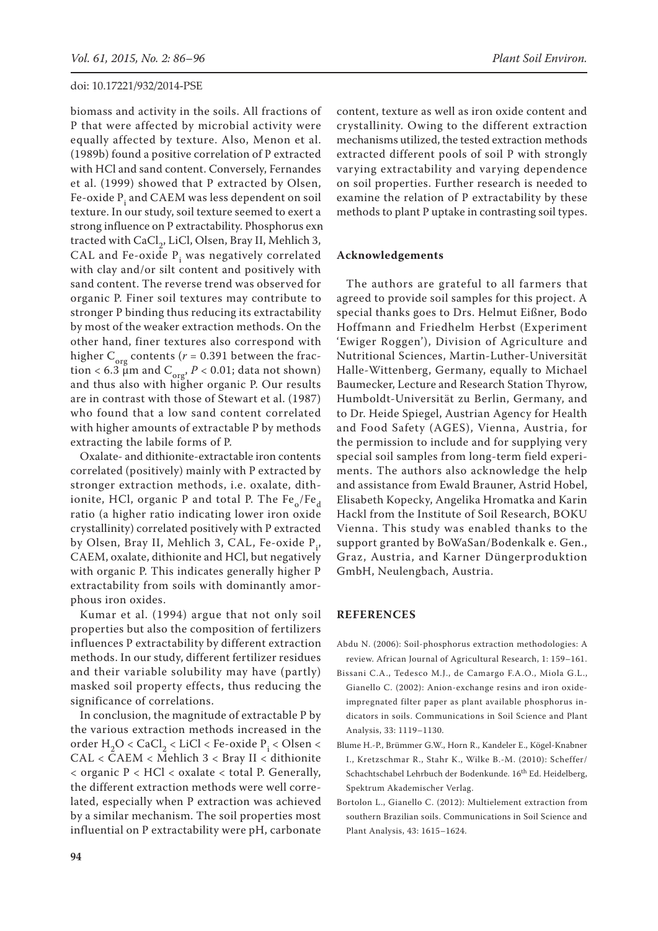biomass and activity in the soils. All fractions of P that were affected by microbial activity were equally affected by texture. Also, Menon et al. (1989b) found a positive correlation of P extracted with HCl and sand content. Conversely, Fernandes et al. (1999) showed that P extracted by Olsen, Fe-oxide  $P_i$  and CAEM was less dependent on soil texture. In our study, soil texture seemed to exert a strong influence on P extractability. Phosphorus exntracted with  $CaCl<sub>2</sub>$ , LiCl, Olsen, Bray II, Mehlich 3, CAL and Fe-oxide  $P_i$  was negatively correlated with clay and/or silt content and positively with sand content. The reverse trend was observed for organic P. Finer soil textures may contribute to stronger P binding thus reducing its extractability by most of the weaker extraction methods. On the other hand, finer textures also correspond with higher  $C_{\text{org}}$  contents ( $r = 0.391$  between the fraction <  $6.3 \mu$ m and C<sub>org</sub>, *P* < 0.01; data not shown) and thus also with higher organic P. Our results are in contrast with those of Stewart et al. (1987) who found that a low sand content correlated with higher amounts of extractable P by methods extracting the labile forms of P.

Oxalate- and dithionite-extractable iron contents correlated (positively) mainly with P extracted by stronger extraction methods, i.e. oxalate, dithionite, HCl, organic P and total P. The  $Fe_0/Fe_4$ ratio (a higher ratio indicating lower iron oxide crystallinity) correlated positively with P extracted by Olsen, Bray II, Mehlich 3, CAL, Fe-oxide P<sub>i</sub>, CAEM, oxalate, dithionite and HCl, but negatively with organic P. This indicates generally higher P extractability from soils with dominantly amorphous iron oxides.

Kumar et al. (1994) argue that not only soil properties but also the composition of fertilizers influences P extractability by different extraction methods. In our study, different fertilizer residues and their variable solubility may have (partly) masked soil property effects, thus reducing the significance of correlations.

In conclusion, the magnitude of extractable P by the various extraction methods increased in the order  $H_2O < CaCl_2 < LiCl < Fe$ -oxide  $P_i < O$ lsen < CAL < CAEM < Mehlich 3 < Bray II < dithionite  $\langle$  organic P  $\langle$  HCl  $\langle$  oxalate  $\langle$  total P. Generally, the different extraction methods were well correlated, especially when P extraction was achieved by a similar mechanism. The soil properties most influential on P extractability were pH, carbonate

content, texture as well as iron oxide content and crystallinity. Owing to the different extraction mechanisms utilized, the tested extraction methods extracted different pools of soil P with strongly varying extractability and varying dependence on soil properties. Further research is needed to examine the relation of P extractability by these methods to plant P uptake in contrasting soil types.

## **Acknowledgements**

The authors are grateful to all farmers that agreed to provide soil samples for this project. A special thanks goes to Drs. Helmut Eißner, Bodo Hoffmann and Friedhelm Herbst (Experiment 'Ewiger Roggen'), Division of Agriculture and Nutritional Sciences, Martin-Luther-Universität Halle-Wittenberg, Germany, equally to Michael Baumecker, Lecture and Research Station Thyrow, Humboldt-Universität zu Berlin, Germany, and to Dr. Heide Spiegel, Austrian Agency for Health and Food Safety (AGES), Vienna, Austria, for the permission to include and for supplying very special soil samples from long-term field experiments. The authors also acknowledge the help and assistance from Ewald Brauner, Astrid Hobel, Elisabeth Kopecky, Angelika Hromatka and Karin Hackl from the Institute of Soil Research, BOKU Vienna. This study was enabled thanks to the support granted by BoWaSan/Bodenkalk e. Gen., Graz, Austria, and Karner Düngerproduktion GmbH, Neulengbach, Austria.

# **REFERENCES**

- Abdu N. (2006): Soil-phosphorus extraction methodologies: A review. African Journal of Agricultural Research, 1: 159–161.
- Bissani C.A., Tedesco M.J., de Camargo F.A.O., Miola G.L., Gianello C. (2002): Anion-exchange resins and iron oxideimpregnated filter paper as plant available phosphorus indicators in soils. Communications in Soil Science and Plant Analysis, 33: 1119–1130.
- Blume H.-P., Brümmer G.W., Horn R., Kandeler E., Kögel-Knabner I., Kretzschmar R., Stahr K., Wilke B.-M. (2010): Scheffer/ Schachtschabel Lehrbuch der Bodenkunde. 16th Ed. Heidelberg, Spektrum Akademischer Verlag.
- Bortolon L., Gianello C. (2012): Multielement extraction from southern Brazilian soils. Communications in Soil Science and Plant Analysis, 43: 1615–1624.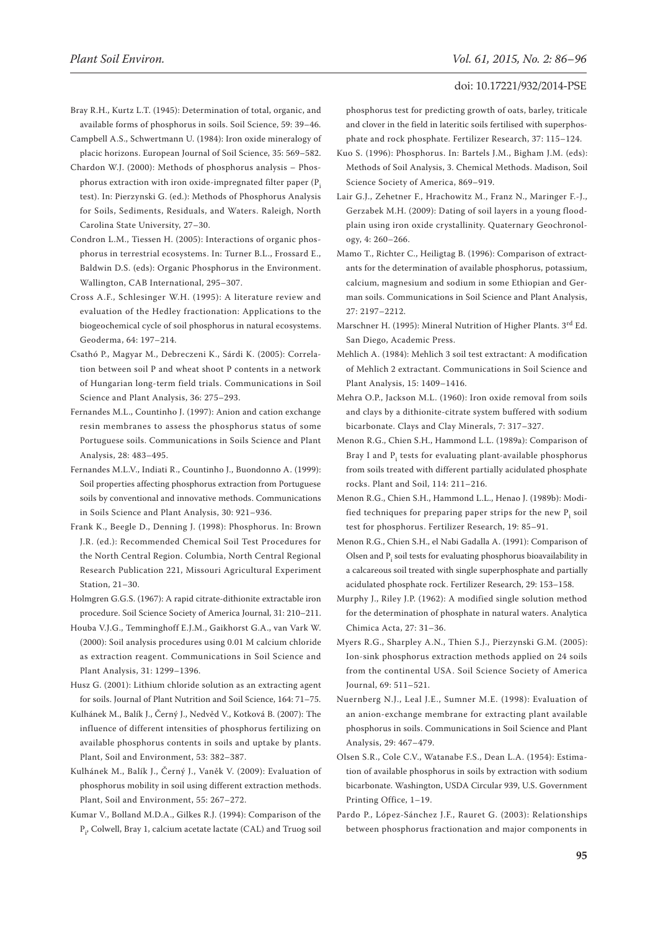- Bray R.H., Kurtz L.T. (1945): Determination of total, organic, and available forms of phosphorus in soils. Soil Science, 59: 39–46.
- Campbell A.S., Schwertmann U. (1984): Iron oxide mineralogy of placic horizons. European Journal of Soil Science, 35: 569–582.
- Chardon W.J. (2000): Methods of phosphorus analysis Phosphorus extraction with iron oxide-impregnated filter paper  $(P_i)$ test). In: Pierzynski G. (ed.): Methods of Phosphorus Analysis for Soils, Sediments, Residuals, and Waters. Raleigh, North Carolina State University, 27–30.
- Condron L.M., Tiessen H. (2005): Interactions of organic phosphorus in terrestrial ecosystems. In: Turner B.L., Frossard E., Baldwin D.S. (eds): Organic Phosphorus in the Environment. Wallington, CAB International, 295–307.
- Cross A.F., Schlesinger W.H. (1995): A literature review and evaluation of the Hedley fractionation: Applications to the biogeochemical cycle of soil phosphorus in natural ecosystems. Geoderma, 64: 197–214.
- Csathó P., Magyar M., Debreczeni K., Sárdi K. (2005): Correlation between soil P and wheat shoot P contents in a network of Hungarian long-term field trials. Communications in Soil Science and Plant Analysis, 36: 275–293.
- Fernandes M.L., Countinho J. (1997): Anion and cation exchange resin membranes to assess the phosphorus status of some Portuguese soils. Communications in Soils Science and Plant Analysis, 28: 483–495.
- Fernandes M.L.V., Indiati R., Countinho J., Buondonno A. (1999): Soil properties affecting phosphorus extraction from Portuguese soils by conventional and innovative methods. Communications in Soils Science and Plant Analysis, 30: 921–936.
- Frank K., Beegle D., Denning J. (1998): Phosphorus. In: Brown J.R. (ed.): Recommended Chemical Soil Test Procedures for the North Central Region. Columbia, North Central Regional Research Publication 221, Missouri Agricultural Experiment Station, 21–30.
- Holmgren G.G.S. (1967): A rapid citrate-dithionite extractable iron procedure. Soil Science Society of America Journal, 31: 210–211.
- Houba V.J.G., Temminghoff E.J.M., Gaikhorst G.A., van Vark W. (2000): Soil analysis procedures using 0.01 M calcium chloride as extraction reagent. Communications in Soil Science and Plant Analysis, 31: 1299–1396.
- Husz G. (2001): Lithium chloride solution as an extracting agent for soils. Journal of Plant Nutrition and Soil Science, 164: 71–75.
- Kulhánek M., Balík J., Černý J., Nedvěd V., Kotková B. (2007): The influence of different intensities of phosphorus fertilizing on available phosphorus contents in soils and uptake by plants. Plant, Soil and Environment, 53: 382–387.
- Kulhánek M., Balík J., Černý J., Vaněk V. (2009): Evaluation of phosphorus mobility in soil using different extraction methods. Plant, Soil and Environment, 55: 267–272.
- Kumar V., Bolland M.D.A., Gilkes R.J. (1994): Comparison of the P<sub>i</sub>, Colwell, Bray 1, calcium acetate lactate (CAL) and Truog soil

phosphorus test for predicting growth of oats, barley, triticale and clover in the field in lateritic soils fertilised with superphosphate and rock phosphate. Fertilizer Research, 37: 115–124.

- Kuo S. (1996): Phosphorus. In: Bartels J.M., Bigham J.M. (eds): Methods of Soil Analysis, 3. Chemical Methods. Madison, Soil Science Society of America, 869–919.
- Lair G.J., Zehetner F., Hrachowitz M., Franz N., Maringer F.-J., Gerzabek M.H. (2009): Dating of soil layers in a young floodplain using iron oxide crystallinity. Quaternary Geochronology, 4: 260–266.
- Mamo T., Richter C., Heiligtag B. (1996): Comparison of extractants for the determination of available phosphorus, potassium, calcium, magnesium and sodium in some Ethiopian and German soils. Communications in Soil Science and Plant Analysis, 27: 2197–2212.
- Marschner H. (1995): Mineral Nutrition of Higher Plants. 3rd Ed. San Diego, Academic Press.
- Mehlich A. (1984): Mehlich 3 soil test extractant: A modification of Mehlich 2 extractant. Communications in Soil Science and Plant Analysis, 15: 1409–1416.
- Mehra O.P., Jackson M.L. (1960): Iron oxide removal from soils and clays by a dithionite-citrate system buffered with sodium bicarbonate. Clays and Clay Minerals, 7: 317–327.
- Menon R.G., Chien S.H., Hammond L.L. (1989a): Comparison of Bray I and  $P_i$  tests for evaluating plant-available phosphorus from soils treated with different partially acidulated phosphate rocks. Plant and Soil, 114: 211–216.
- Menon R.G., Chien S.H., Hammond L.L., Henao J. (1989b): Modified techniques for preparing paper strips for the new  $P_i$  soil test for phosphorus. Fertilizer Research, 19: 85–91.
- Menon R.G., Chien S.H., el Nabi Gadalla A. (1991): Comparison of Olsen and  $P_i$  soil tests for evaluating phosphorus bioavailability in a calcareous soil treated with single superphosphate and partially acidulated phosphate rock. Fertilizer Research, 29: 153–158.
- Murphy J., Riley J.P. (1962): A modified single solution method for the determination of phosphate in natural waters. Analytica Chimica Acta, 27: 31–36.
- Myers R.G., Sharpley A.N., Thien S.J., Pierzynski G.M. (2005): Ion-sink phosphorus extraction methods applied on 24 soils from the continental USA. Soil Science Society of America Journal, 69: 511–521.
- Nuernberg N.J., Leal J.E., Sumner M.E. (1998): Evaluation of an anion-exchange membrane for extracting plant available phosphorus in soils. Communications in Soil Science and Plant Analysis, 29: 467–479.
- Olsen S.R., Cole C.V., Watanabe F.S., Dean L.A. (1954): Estimation of available phosphorus in soils by extraction with sodium bicarbonate. Washington, USDA Circular 939, U.S. Government Printing Office, 1–19.
- Pardo P., López-Sánchez J.F., Rauret G. (2003): Relationships between phosphorus fractionation and major components in